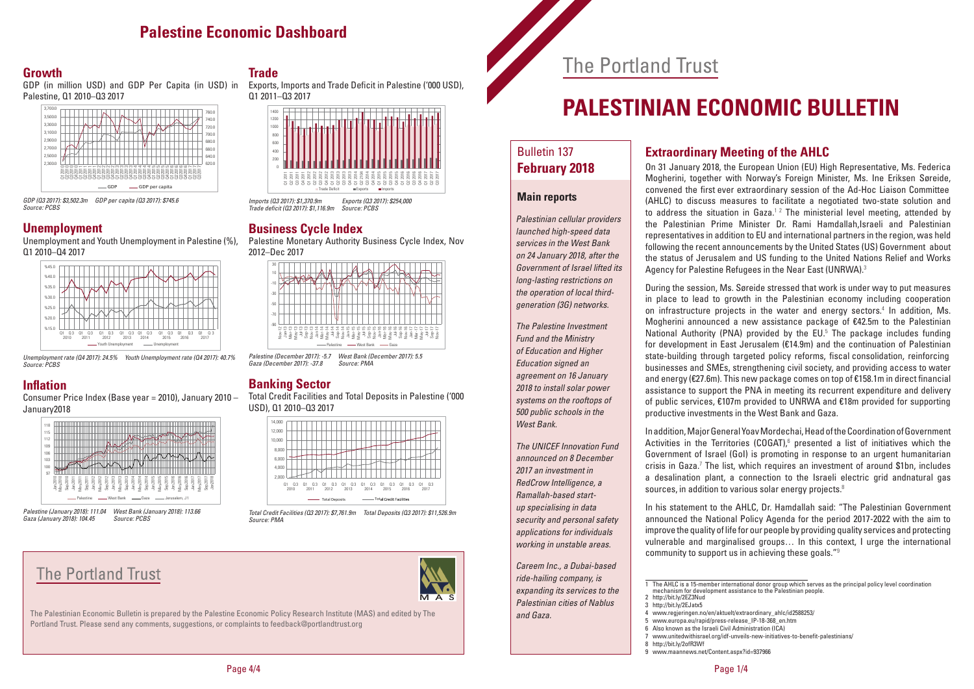## The Portland Trust

# **PALESTINIAN ECONOMIC BULLETIN**

#### Bulletin 137 **February 2018**

#### **Main reports**

*Palestinian cellular providers launched high-speed data services in the West Bank on 24 January 2018, after the Government of Israel lifted its long-lasting restrictions on the operation of local thirdgeneration (3G) networks.*

*The Palestine Investment Fund and the Ministry of Education and Higher Education signed an agreement on 16 January 2018 to install solar power systems on the rooftops of 500 public schools in the West Bank.*

*The UNICEF Innovation Fund announced on 8 December 2017 an investment in RedCrow Intelligence, a Ramallah-based startup specialising in data security and personal safety applications for individuals working in unstable areas.*

*Careem Inc., a Dubai-based ride-hailing company, is expanding its services to the Palestinian cities of Nablus*  and Gaza.

#### **Extraordinary Meeting of the AHLC**

On 31 January 2018, the European Union (EU) High Representative, Ms. Federica Mogherini, together with Norway's Foreign Minister, Ms. Ine Eriksen Søreide, convened the first ever extraordinary session of the Ad-Hoc Liaison Committee (AHLC) to discuss measures to facilitate a negotiated two-state solution and to address the situation in Gaza.<sup>12</sup> The ministerial level meeting, attended by the Palestinian Prime Minister Dr. Rami Hamdallah,Israeli and Palestinian representatives in addition to EU and international partners in the region, was held following the recent announcements by the United States (US) Government about the status of Jerusalem and US funding to the United Nations Relief and Works Agency for Palestine Refugees in the Near East (UNRWA). 3

During the session, Ms. Søreide stressed that work is under way to put measures in place to lead to growth in the Palestinian economy including cooperation on infrastructure projects in the water and energy sectors. 4 In addition, Ms. Mogherini announced a new assistance package of €42.5m to the Palestinian National Authority (PNA) provided by the EU. <sup>5</sup> The package includes funding for development in East Jerusalem (€14.9m) and the continuation of Palestinian state-building through targeted policy reforms, fiscal consolidation, reinforcing businesses and SMEs, strengthening civil society, and providing access to water and energy (€27.6m). This new package comes on top of €158.1m in direct financial assistance to support the PNA in meeting its recurrent expenditure and delivery of public services, €107m provided to UNRWA and €18m provided for supporting productive investments in the West Bank and Gaza.

In addition, Major General Yoav Mordechai, Head of the Coordination of Government Activities in the Territories (COGAT), $6$  presented a list of initiatives which the Government of Israel (GoI) is promoting in response to an urgent humanitarian crisis in Gaza.<sup>7</sup> The list, which requires an investment of around \$1bn, includes a desalination plant, a connection to the Israeli electric grid andnatural gas sources, in addition to various solar energy projects.<sup>8</sup>

In his statement to the AHLC, Dr. Hamdallah said: "The Palestinian Government announced the National Policy Agenda for the period 2017-2022 with the aim to improve the quality of life for our people by providing quality services and protecting vulnerable and marginalised groups… In this context, I urge the international community to support us in achieving these goals."<sup>9</sup>

<sup>1</sup> The AHLC is a 15-member international donor group which serves as the principal policy level coordination

mechanism for development assistance to the Palestinian people.

<sup>2</sup> http://bit.ly/2EZ3Nud

<sup>3</sup> http://bit.ly/2EJatx5

<sup>4</sup> www.regjeringen.no/en/aktuelt/extraordinary\_ahlc/id2588253/

<sup>5</sup> www.europa.eu/rapid/press-release\_IP-18-368\_en.htm

<sup>6</sup> Also known as the Israeli Civil Administration (ICA)

<sup>7</sup> www.unitedwithisrael.org/idf-unveils-new-initiatives-to-benefit-palestinians/

<sup>8</sup> http://bit.ly/2ofR3Wf

<sup>9</sup> www.maannews.net/Content.aspx?id=937966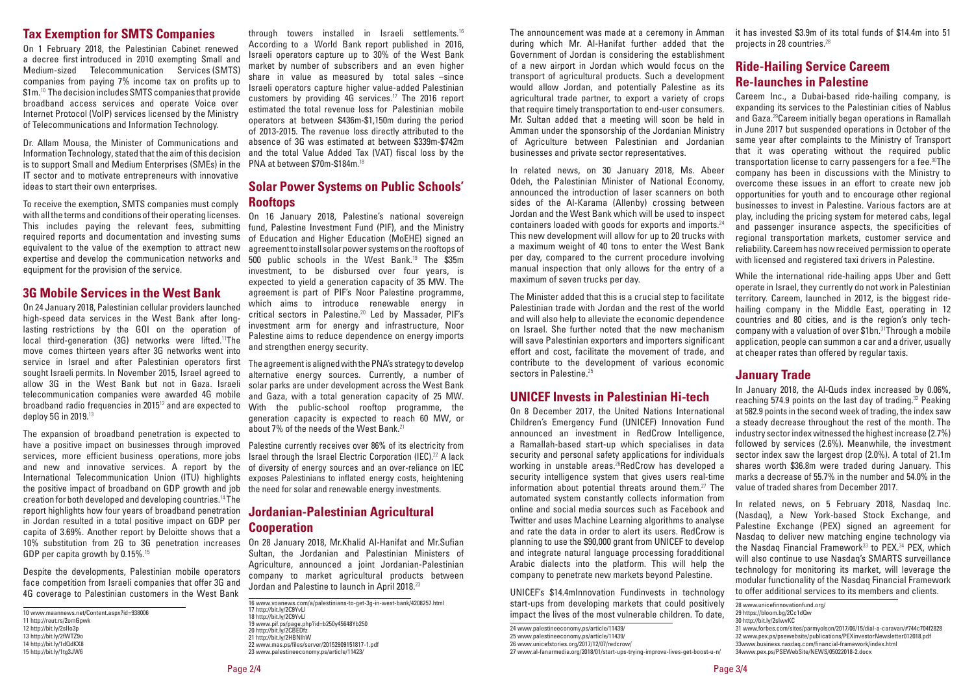#### **Tax Exemption for SMTS Companies**

On 1 February 2018, the Palestinian Cabinet renewed a decree first introduced in 2010 exempting Small and Medium-sized Telecommunication Services (SMTS) companies from paying 7% income tax on profits up to \$1m.<sup>10</sup> The decision includes SMTS companies that provide broadband access services and operate Voice over Internet Protocol (VoIP) services licensed by the Ministry of Telecommunications and Information Technology.

Dr. Allam Mousa, the Minister of Communications and Information Technology, stated that the aim of this decision is to support Small and Medium Enterprises (SMEs) in the IT sector and to motivate entrepreneurs with innovative ideas to start their own enterprises.

To receive the exemption, SMTS companies must comply with all the terms and conditions of their operating licenses. This includes paying the relevant fees, submitting required reports and documentation and investing sums equivalent to the value of the exemption to attract new expertise and develop the communication networks and equipment for the provision of the service.

#### **3G Mobile Services in the West Bank**

On 24 January 2018, Palestinian cellular providers launched high-speed data services in the West Bank after longlasting restrictions by the GOI on the operation of local third-generation (3G) networks were lifted.<sup>11</sup>The move comes thirteen years after 3G networks went into service in Israel and after Palestinian operators first sought Israeli permits. In November 2015, Israel agreed to allow 3G in the West Bank but not in Gaza. Israeli telecommunication companies were awarded 4G mobile broadband radio frequencies in 2015<sup>12</sup> and are expected to deploy 5G in 2019.<sup>13</sup>

The expansion of broadband penetration is expected to have a positive impact on businesses through improved services, more efficient business operations, more jobs and new and innovative services. A report by the International Telecommunication Union (ITU) highlights the positive impact of broadband on GDP growth and job creation for both developed and developing countries.<sup>14</sup> The report highlights how four years of broadband penetration in Jordan resulted in a total positive impact on GDP per capita of 3.69%. Another report by Deloitte shows that a 10% substitution from 2G to 3G penetration increases GDP per capita growth by 0.15%.<sup>15</sup>

Despite the developments, Palestinian mobile operators face competition from Israeli companies that offer 3G and 4G coverage to Palestinian customers in the West Bank

through towers installed in Israeli settlements.<sup>16</sup> According to a World Bank report published in 2016, Israeli operators capture up to 30% of the West Bank market by number of subscribers and an even higher share in value as measured by total sales –since Israeli operators capture higher value-added Palestinian customers by providing 4G services.<sup>17</sup> The 2016 report estimated the total revenue loss for Palestinian mobile operators at between \$436m-\$1,150m during the period of 2013-2015. The revenue loss directly attributed to the absence of 3G was estimated at between \$339m-\$742m and the total Value Added Tax (VAT) fiscal loss by the PNA at between \$70m-\$184m.<sup>18</sup>

#### **Solar Power Systems on Public Schools' Rooftops**

On 16 January 2018, Palestine's national sovereign fund, Palestine Investment Fund (PIF), and the Ministry of Education and Higher Education (MoEHE) signed an agreement to install solar power systems on the rooftops of 500 public schools in the West Bank.<sup>19</sup> The \$35m investment, to be disbursed over four years, is expected to yield a generation capacity of 35 MW. The agreement is part of PIF's Noor Palestine programme, which aims to introduce renewable energy in critical sectors in Palestine.<sup>20</sup> Led by Massader, PIF's investment arm for energy and infrastructure, Noor Palestine aims to reduce dependence on energy imports and strengthen energy security.

The agreement is aligned with the PNA's strategy to develop alternative energy sources. Currently, a number of solar parks are under development across the West Bank and Gaza, with a total generation capacity of 25 MW. With the public-school rooftop programme, the generation capacity is expected to reach 60 MW, or about 7% of the needs of the West Bank.<sup>21</sup>

Palestine currently receives over 86% of its electricity from Israel through the Israel Electric Corporation (IEC).<sup>22</sup> A lack of diversity of energy sources and an over-reliance on IEC exposes Palestinians to inflated energy costs, heightening the need for solar and renewable energy investments.

#### **Jordanian-Palestinian Agricultural Cooperation**

On 28 January 2018, Mr.Khalid Al-Hanifat and Mr.Sufian Sultan, the Jordanian and Palestinian Ministers of Agriculture, announced a joint Jordanian-Palestinian company to market agricultural products between Jordan and Palestine to launch in April 2018.<sup>23</sup>

<sup>10</sup> www.maannews.net/Content.aspx?id=938006

<sup>11</sup> http://reut.rs/2omGpwk

<sup>12</sup> http://bit.ly/2sIIo3p 13 http://bit.ly/2fWTZ9o

<sup>14</sup> http://bit.ly/1dQdKX8

<sup>15</sup> http://bit.ly/1tg3JW6

<sup>16</sup> www.voanews.com/a/palestinians-to-get-3g-in-west-bank/4208257.html

<sup>17</sup> http://bit.ly/2C9YvLl

<sup>18</sup> http://bit.ly/2C9YvLl

<sup>19</sup> www.pif.ps/page.php?id=b250y45648Yb250

<sup>20</sup> http://bit.ly/2CBEDfz

<sup>21</sup> http://bit.ly/2HBNlhW

<sup>22</sup> www.mas.ps/files/server/20152909151817-1.pdf

<sup>23</sup> www.palestineeconomy.ps/article/11423/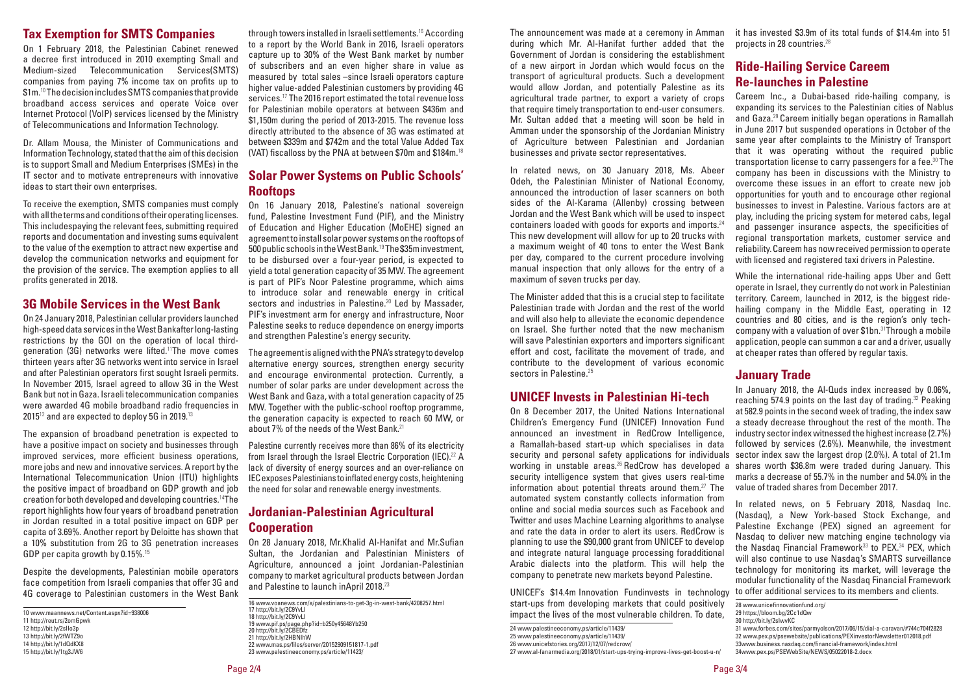The announcement was made at a ceremony in Amman during which Mr. Al-Hanifat further added that the Government of Jordan is considering the establishment of a new airport in Jordan which would focus on the transport of agricultural products. Such a development would allow Jordan, and potentially Palestine as its agricultural trade partner, to export a variety of crops that require timely transportation to end-user consumers. Mr. Sultan added that a meeting will soon be held in Amman under the sponsorship of the Jordanian Ministry of Agriculture between Palestinian and Jordanian businesses and private sector representatives.

In related news, on 30 January 2018, Ms. Abeer Odeh, the Palestinian Minister of National Economy, announced the introduction of laser scanners on both sides of the Al-Karama (Allenby) crossing between Jordan and the West Bank which will be used to inspect containers loaded with goods for exports and imports. $24$ This new development will allow for up to 20 trucks with a maximum weight of 40 tons to enter the West Bank per day, compared to the current procedure involving manual inspection that only allows for the entry of a maximum of seven trucks per day.

The Minister added that this is a crucial step to facilitate Palestinian trade with Jordan and the rest of the world and will also help to alleviate the economic dependence on Israel. She further noted that the new mechanism will save Palestinian exporters and importers significant effort and cost, facilitate the movement of trade, and contribute to the development of various economic sectors in Palestine.<sup>25</sup>

#### **UNICEF Invests in Palestinian Hi-tech**

On 8 December 2017, the United Nations International Children's Emergency Fund (UNICEF) Innovation Fund announced an investment in RedCrow Intelligence, a Ramallah-based start-up which specialises in data security and personal safety applications for individuals working in unstable areas.<sup>26</sup> RedCrow has developed a security intelligence system that gives users real-time information about potential threats around them.<sup>27</sup> The automated system constantly collects information from online and social media sources such as Facebook and Twitter and uses Machine Learning algorithms to analyse and rate the data in order to alert its users. RedCrow is planning to use the \$90,000 grant from UNICEF to develop and integrate natural language processing foradditional Arabic dialects into the platform. This will help the company to penetrate new markets beyond Palestine.

UNICEF's \$14.4m Innovation Fundinvests in technology start-ups from developing markets that could positively impact the lives of the most vulnerable children. To date,

it has invested \$3.9m of its total funds of \$14.4m into 51 projects in 28 countries. 28

#### **Ride-Hailing Service Careem Re-launches in Palestine**

Careem Inc., a Dubai-based ride-hailing company, is expanding its services to the Palestinian cities of Nablus and Gaza.<sup>29</sup> Careem initially began operations in Ramallah in June 2017 but suspended operations in October of the same year after complaints to the Ministry of Transport that it was operating without the required public transportation license to carry passengers for a fee. <sup>30</sup> The company has been in discussions with the Ministry to overcome these issues in an effort to create new job opportunities for youth and to encourage other regional businesses to invest in Palestine. Various factors are at play, including the pricing system for metered cabs, legal and passenger insurance aspects, the specificities of regional transportation markets, customer service and reliability.Careem has now received permission to operate with licensed and registered taxi drivers in Palestine.

While the international ride-hailing apps Uber and Gett operate in Israel, they currently do not work in Palestinian territory. Careem, launched in 2012, is the biggest ridehailing company in the Middle East, operating in 12 countries and 80 cities, and is the region's only techcompany with a valuation of over \$1bn. <sup>31</sup>Through a mobile application, people can summon a car and a driver, usually at cheaper rates than offered by regular taxis.

#### **January Trade**

In January 2018, the Al-Quds index increased by 0.06%, reaching 574.9 points on the last day of trading.<sup>32</sup> Peaking at 582.9 points in the second week of trading, the index saw a steady decrease throughout the rest of the month. The industry sector index witnessed the highest increase (2.7%) followed by services (2.6%). Meanwhile, the investment sector index saw the largest drop (2.0%). A total of 21.1m shares worth \$36.8m were traded during January. This marks a decrease of 55.7% in the number and 54.0% in the value of traded shares from December 2017.

In related news, on 5 February 2018, Nasdaq Inc. (Nasdaq), a New York-based Stock Exchange, and Palestine Exchange (PEX) signed an agreement for Nasdaq to deliver new matching engine technology via the Nasdaq Financial Framework<sup>33</sup> to PEX.<sup>34</sup> PEX, which will also continue to use Nasdaq's SMARTS surveillance technology for monitoring its market, will leverage the modular functionality of the Nasdaq Financial Framework to offer additional services to its members and clients.

<sup>24</sup> www.palestineeconomy.ps/article/11439/

<sup>25</sup> www.palestineeconomy.ps/article/11439/

<sup>26</sup> www.unicefstories.org/2017/12/07/redcrow/

<sup>27</sup> www.al-fanarmedia.org/2018/01/start-ups-trying-improve-lives-get-boost-u-n/

<sup>28</sup> www.unicefinnovationfund.org/

<sup>29</sup> https://bloom.bg/2Cc1dQw

<sup>30</sup> http://bit.ly/2sIwvKC

<sup>31</sup> www.forbes.com/sites/parmyolson/2017/06/15/dial-a-caravan/#744c704f2828

<sup>32</sup> www.pex.ps/psewebsite/publications/PEXinvestorNewsletter012018.pdf

<sup>33</sup>www.business.nasdaq.com/financial-framework/index.html

<sup>34</sup>www.pex.ps/PSEWebSite/NEWS/05022018-2.docx